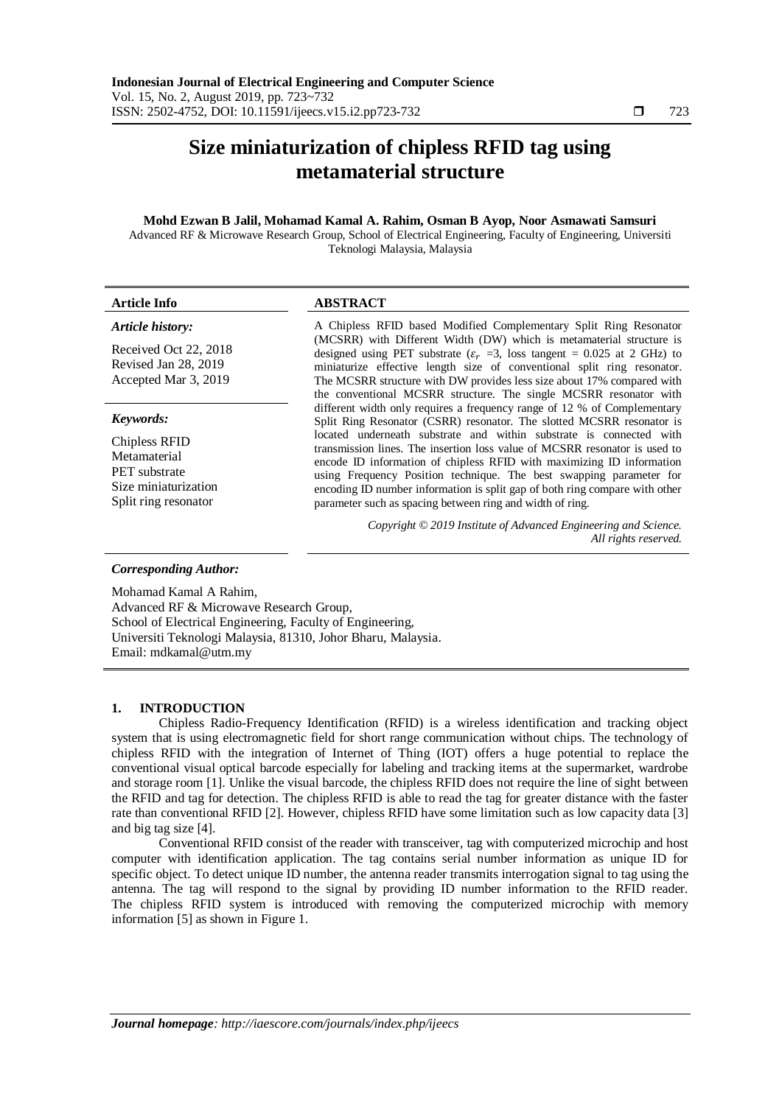# **Size miniaturization of chipless RFID tag using metamaterial structure**

## **Mohd Ezwan B Jalil, Mohamad Kamal A. Rahim, Osman B Ayop, Noor Asmawati Samsuri**

Advanced RF & Microwave Research Group, School of Electrical Engineering, Faculty of Engineering, Universiti Teknologi Malaysia, Malaysia

| <b>Article Info</b>                                                                                                | <b>ABSTRACT</b>                                                                                                                                                                                                                                                                                                                                                                                                                                                                                                                                                                                    |  |  |
|--------------------------------------------------------------------------------------------------------------------|----------------------------------------------------------------------------------------------------------------------------------------------------------------------------------------------------------------------------------------------------------------------------------------------------------------------------------------------------------------------------------------------------------------------------------------------------------------------------------------------------------------------------------------------------------------------------------------------------|--|--|
| Article history:<br>Received Oct 22, 2018<br>Revised Jan 28, 2019<br>Accepted Mar 3, 2019                          | A Chipless RFID based Modified Complementary Split Ring Resonator<br>(MCSRR) with Different Width (DW) which is metamaterial structure is<br>designed using PET substrate ( $\varepsilon_r$ =3, loss tangent = 0.025 at 2 GHz) to<br>miniaturize effective length size of conventional split ring resonator.<br>The MCSRR structure with DW provides less size about 17% compared with<br>the conventional MCSRR structure. The single MCSRR resonator with                                                                                                                                        |  |  |
| Keywords:<br>Chipless RFID<br>Metamaterial<br><b>PET</b> substrate<br>Size miniaturization<br>Split ring resonator | different width only requires a frequency range of 12 % of Complementary<br>Split Ring Resonator (CSRR) resonator. The slotted MCSRR resonator is<br>located underneath substrate and within substrate is connected with<br>transmission lines. The insertion loss value of MCSRR resonator is used to<br>encode ID information of chipless RFID with maximizing ID information<br>using Frequency Position technique. The best swapping parameter for<br>encoding ID number information is split gap of both ring compare with other<br>parameter such as spacing between ring and width of ring. |  |  |
|                                                                                                                    | Copyright © 2019 Institute of Advanced Engineering and Science.<br>All rights reserved.                                                                                                                                                                                                                                                                                                                                                                                                                                                                                                            |  |  |
| Comononding Author:                                                                                                |                                                                                                                                                                                                                                                                                                                                                                                                                                                                                                                                                                                                    |  |  |

## *Corresponding Author:*

Mohamad Kamal A Rahim, Advanced RF & Microwave Research Group, School of Electrical Engineering, Faculty of Engineering, Universiti Teknologi Malaysia, 81310, Johor Bharu, Malaysia. Email: [mdkamal@utm.my](mailto:mdkamal@utm.my)

## **1. INTRODUCTION**

Chipless Radio-Frequency Identification (RFID) is a wireless identification and tracking object system that is using electromagnetic field for short range communication without chips. The technology of chipless RFID with the integration of Internet of Thing (IOT) offers a huge potential to replace the conventional visual optical barcode especially for labeling and tracking items at the supermarket, wardrobe and storage room [1]. Unlike the visual barcode, the chipless RFID does not require the line of sight between the RFID and tag for detection. The chipless RFID is able to read the tag for greater distance with the faster rate than conventional RFID [2]. However, chipless RFID have some limitation such as low capacity data [3] and big tag size [4].

Conventional RFID consist of the reader with transceiver, tag with computerized microchip and host computer with identification application. The tag contains serial number information as unique ID for specific object. To detect unique ID number, the antenna reader transmits interrogation signal to tag using the antenna. The tag will respond to the signal by providing ID number information to the RFID reader. The chipless RFID system is introduced with removing the computerized microchip with memory information [5] as shown in Figure 1.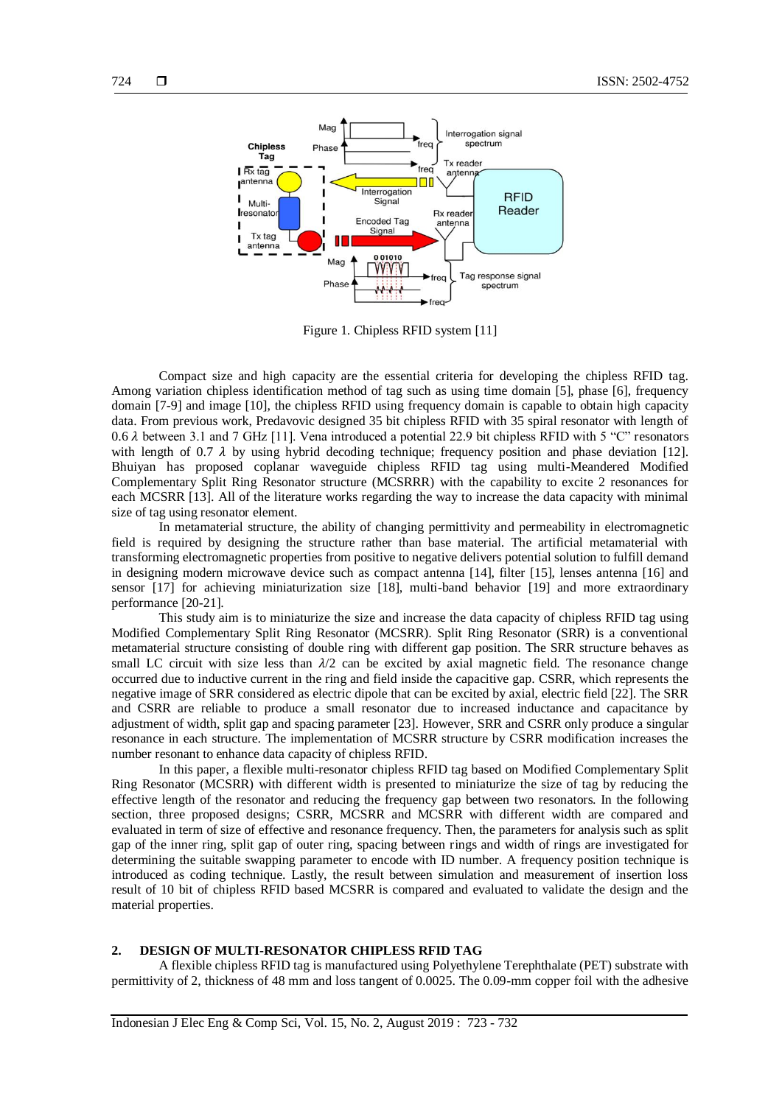

Figure 1. Chipless RFID system [11]

Compact size and high capacity are the essential criteria for developing the chipless RFID tag. Among variation chipless identification method of tag such as using time domain [5], phase [6], frequency domain [7-9] and image [10], the chipless RFID using frequency domain is capable to obtain high capacity data. From previous work, Predavovic designed 35 bit chipless RFID with 35 spiral resonator with length of 0.6  $\lambda$  between 3.1 and 7 GHz [11]. Vena introduced a potential 22.9 bit chipless RFID with 5 "C" resonators with length of 0.7  $\lambda$  by using hybrid decoding technique; frequency position and phase deviation [12]. Bhuiyan has proposed coplanar waveguide chipless RFID tag using multi-Meandered Modified Complementary Split Ring Resonator structure (MCSRRR) with the capability to excite 2 resonances for each MCSRR [13]. All of the literature works regarding the way to increase the data capacity with minimal size of tag using resonator element.

In metamaterial structure, the ability of changing permittivity and permeability in electromagnetic field is required by designing the structure rather than base material. The artificial metamaterial with transforming electromagnetic properties from positive to negative delivers potential solution to fulfill demand in designing modern microwave device such as compact antenna [14], filter [15], lenses antenna [16] and sensor [17] for achieving miniaturization size [18], multi-band behavior [19] and more extraordinary performance [20-21].

This study aim is to miniaturize the size and increase the data capacity of chipless RFID tag using Modified Complementary Split Ring Resonator (MCSRR). Split Ring Resonator (SRR) is a conventional metamaterial structure consisting of double ring with different gap position. The SRR structure behaves as small LC circuit with size less than  $\lambda/2$  can be excited by axial magnetic field. The resonance change occurred due to inductive current in the ring and field inside the capacitive gap. CSRR, which represents the negative image of SRR considered as electric dipole that can be excited by axial, electric field [22]. The SRR and CSRR are reliable to produce a small resonator due to increased inductance and capacitance by adjustment of width, split gap and spacing parameter [23]. However, SRR and CSRR only produce a singular resonance in each structure. The implementation of MCSRR structure by CSRR modification increases the number resonant to enhance data capacity of chipless RFID.

In this paper, a flexible multi-resonator chipless RFID tag based on Modified Complementary Split Ring Resonator (MCSRR) with different width is presented to miniaturize the size of tag by reducing the effective length of the resonator and reducing the frequency gap between two resonators. In the following section, three proposed designs; CSRR, MCSRR and MCSRR with different width are compared and evaluated in term of size of effective and resonance frequency. Then, the parameters for analysis such as split gap of the inner ring, split gap of outer ring, spacing between rings and width of rings are investigated for determining the suitable swapping parameter to encode with ID number. A frequency position technique is introduced as coding technique. Lastly, the result between simulation and measurement of insertion loss result of 10 bit of chipless RFID based MCSRR is compared and evaluated to validate the design and the material properties.

#### **2. DESIGN OF MULTI-RESONATOR CHIPLESS RFID TAG**

A flexible chipless RFID tag is manufactured using Polyethylene Terephthalate (PET) substrate with permittivity of 2, thickness of 48 mm and loss tangent of 0.0025. The 0.09-mm copper foil with the adhesive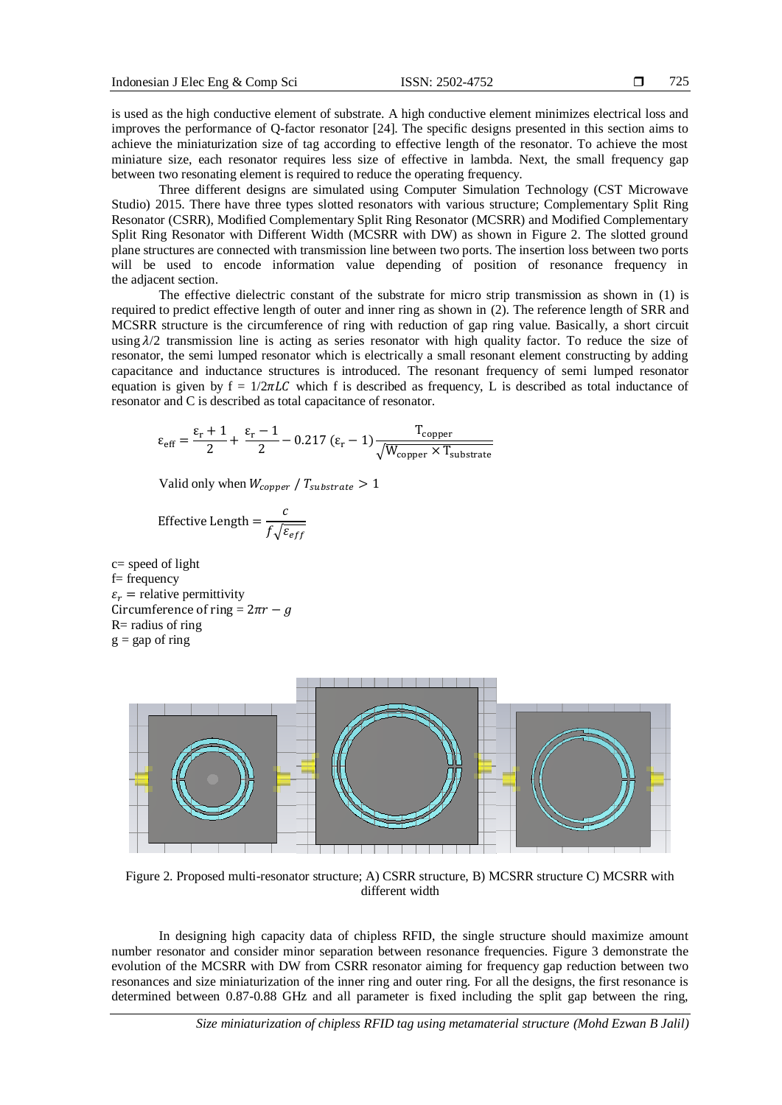is used as the high conductive element of substrate. A high conductive element minimizes electrical loss and improves the performance of Q-factor resonator [24]. The specific designs presented in this section aims to achieve the miniaturization size of tag according to effective length of the resonator. To achieve the most miniature size, each resonator requires less size of effective in lambda. Next, the small frequency gap between two resonating element is required to reduce the operating frequency.

Three different designs are simulated using Computer Simulation Technology (CST Microwave Studio) 2015. There have three types slotted resonators with various structure; Complementary Split Ring Resonator (CSRR), Modified Complementary Split Ring Resonator (MCSRR) and Modified Complementary Split Ring Resonator with Different Width (MCSRR with DW) as shown in Figure 2. The slotted ground plane structures are connected with transmission line between two ports. The insertion loss between two ports will be used to encode information value depending of position of resonance frequency in the adjacent section.

The effective dielectric constant of the substrate for micro strip transmission as shown in (1) is required to predict effective length of outer and inner ring as shown in (2). The reference length of SRR and MCSRR structure is the circumference of ring with reduction of gap ring value. Basically, a short circuit using  $\lambda/2$  transmission line is acting as series resonator with high quality factor. To reduce the size of resonator, the semi lumped resonator which is electrically a small resonant element constructing by adding capacitance and inductance structures is introduced. The resonant frequency of semi lumped resonator equation is given by  $f = 1/2\pi LC$  which f is described as frequency, L is described as total inductance of resonator and C is described as total capacitance of resonator.

$$
\epsilon_{eff} = \frac{\epsilon_r+1}{2} + \frac{\epsilon_r-1}{2} - 0.217 \; (\epsilon_r-1) \frac{T_{copper}}{\sqrt{W_{copper} \times T_{substrate}}}
$$

Valid only when  $W_{copper} / T_{substrate} > 1$ 

$$
Effective Length = \frac{c}{f\sqrt{\varepsilon_{eff}}}
$$

c= speed of light f= frequency  $\varepsilon_r$  = relative permittivity Circumference of ring =  $2\pi r - g$  $R=$  radius of ring  $g = gap$  of ring



Figure 2. Proposed multi-resonator structure; A) CSRR structure, B) MCSRR structure C) MCSRR with different width

In designing high capacity data of chipless RFID, the single structure should maximize amount number resonator and consider minor separation between resonance frequencies. Figure 3 demonstrate the evolution of the MCSRR with DW from CSRR resonator aiming for frequency gap reduction between two resonances and size miniaturization of the inner ring and outer ring. For all the designs, the first resonance is determined between 0.87-0.88 GHz and all parameter is fixed including the split gap between the ring,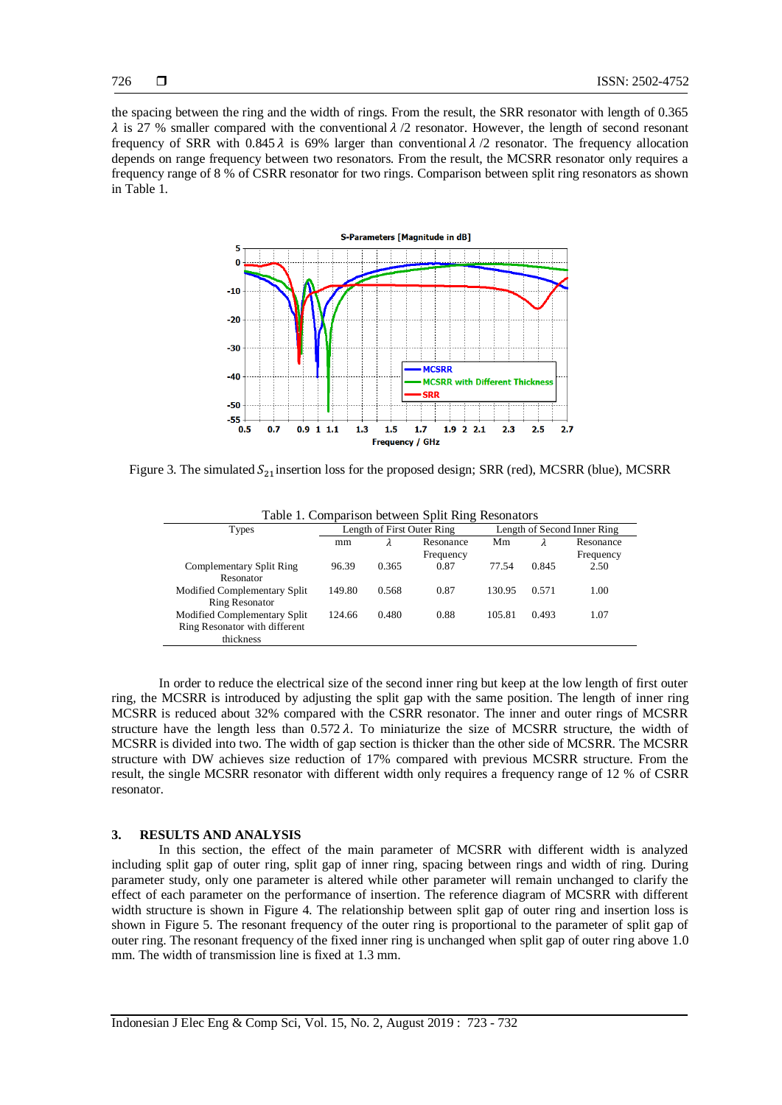the spacing between the ring and the width of rings. From the result, the SRR resonator with length of 0.365  $\lambda$  is 27 % smaller compared with the conventional  $\lambda/2$  resonator. However, the length of second resonant frequency of SRR with 0.845  $\lambda$  is 69% larger than conventional  $\lambda/2$  resonator. The frequency allocation depends on range frequency between two resonators. From the result, the MCSRR resonator only requires a frequency range of 8 % of CSRR resonator for two rings. Comparison between split ring resonators as shown in Table 1.



Figure 3. The simulated  $S_{21}$  insertion loss for the proposed design; SRR (red), MCSRR (blue), MCSRR

| Table 1. Comparison between Split Ring Resonators |                            |       |           |                             |       |           |  |  |
|---------------------------------------------------|----------------------------|-------|-----------|-----------------------------|-------|-----------|--|--|
| <b>Types</b>                                      | Length of First Outer Ring |       |           | Length of Second Inner Ring |       |           |  |  |
|                                                   | mm                         | λ     | Resonance | Mm                          |       | Resonance |  |  |
|                                                   |                            |       | Frequency |                             |       | Frequency |  |  |
| Complementary Split Ring                          | 96.39                      | 0.365 | 0.87      | 77.54                       | 0.845 | 2.50      |  |  |
| Resonator                                         |                            |       |           |                             |       |           |  |  |
| Modified Complementary Split                      | 149.80                     | 0.568 | 0.87      | 130.95                      | 0.571 | 1.00      |  |  |
| <b>Ring Resonator</b>                             |                            |       |           |                             |       |           |  |  |
| Modified Complementary Split                      | 124.66                     | 0.480 | 0.88      | 105.81                      | 0.493 | 1.07      |  |  |
| Ring Resonator with different                     |                            |       |           |                             |       |           |  |  |
| thickness                                         |                            |       |           |                             |       |           |  |  |

In order to reduce the electrical size of the second inner ring but keep at the low length of first outer ring, the MCSRR is introduced by adjusting the split gap with the same position. The length of inner ring MCSRR is reduced about 32% compared with the CSRR resonator. The inner and outer rings of MCSRR structure have the length less than  $0.572 \lambda$ . To miniaturize the size of MCSRR structure, the width of MCSRR is divided into two. The width of gap section is thicker than the other side of MCSRR. The MCSRR structure with DW achieves size reduction of 17% compared with previous MCSRR structure. From the result, the single MCSRR resonator with different width only requires a frequency range of 12 % of CSRR resonator.

#### **3. RESULTS AND ANALYSIS**

In this section, the effect of the main parameter of MCSRR with different width is analyzed including split gap of outer ring, split gap of inner ring, spacing between rings and width of ring. During parameter study, only one parameter is altered while other parameter will remain unchanged to clarify the effect of each parameter on the performance of insertion. The reference diagram of MCSRR with different width structure is shown in Figure 4. The relationship between split gap of outer ring and insertion loss is shown in Figure 5. The resonant frequency of the outer ring is proportional to the parameter of split gap of outer ring. The resonant frequency of the fixed inner ring is unchanged when split gap of outer ring above 1.0 mm. The width of transmission line is fixed at 1.3 mm.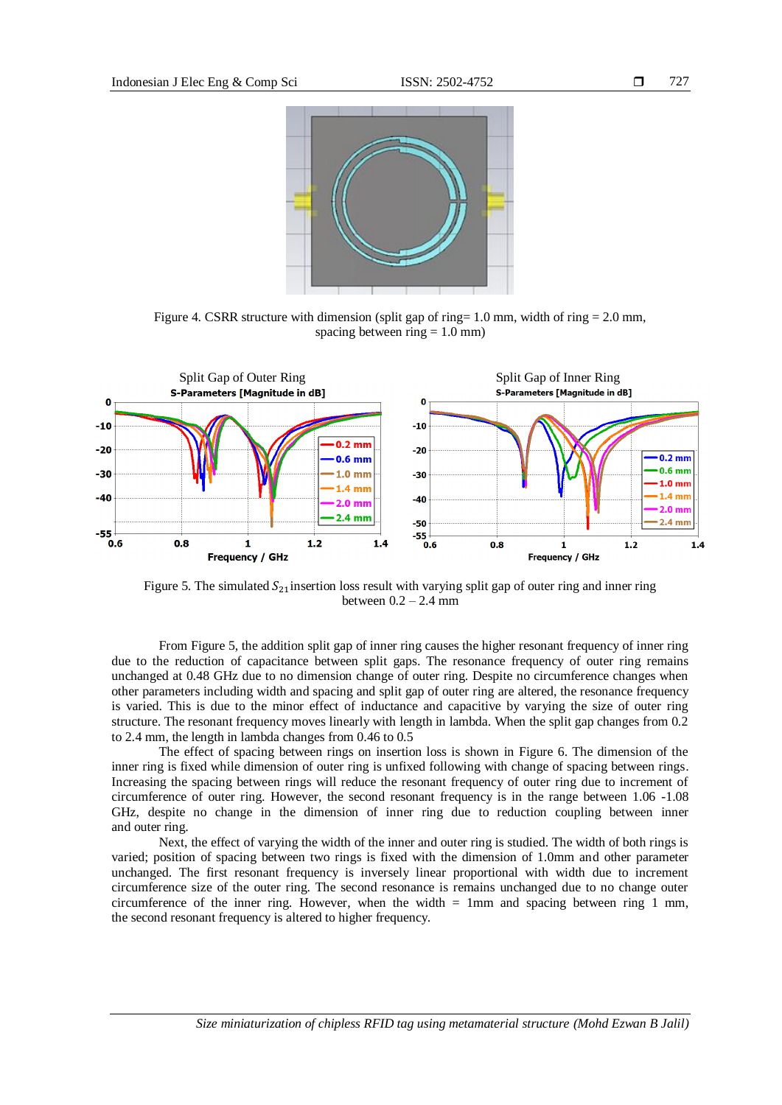

Figure 4. CSRR structure with dimension (split gap of ring=  $1.0$  mm, width of ring =  $2.0$  mm, spacing between ring  $= 1.0$  mm)



Figure 5. The simulated  $S_{21}$ insertion loss result with varying split gap of outer ring and inner ring between  $0.2 - 2.4$  mm

From Figure 5, the addition split gap of inner ring causes the higher resonant frequency of inner ring due to the reduction of capacitance between split gaps. The resonance frequency of outer ring remains unchanged at 0.48 GHz due to no dimension change of outer ring. Despite no circumference changes when other parameters including width and spacing and split gap of outer ring are altered, the resonance frequency is varied. This is due to the minor effect of inductance and capacitive by varying the size of outer ring structure. The resonant frequency moves linearly with length in lambda. When the split gap changes from 0.2 to 2.4 mm, the length in lambda changes from 0.46 to 0.5

The effect of spacing between rings on insertion loss is shown in Figure 6. The dimension of the inner ring is fixed while dimension of outer ring is unfixed following with change of spacing between rings. Increasing the spacing between rings will reduce the resonant frequency of outer ring due to increment of circumference of outer ring. However, the second resonant frequency is in the range between 1.06 -1.08 GHz, despite no change in the dimension of inner ring due to reduction coupling between inner and outer ring.

Next, the effect of varying the width of the inner and outer ring is studied. The width of both rings is varied; position of spacing between two rings is fixed with the dimension of 1.0mm and other parameter unchanged. The first resonant frequency is inversely linear proportional with width due to increment circumference size of the outer ring. The second resonance is remains unchanged due to no change outer circumference of the inner ring. However, when the width  $= 1$ mm and spacing between ring 1 mm, the second resonant frequency is altered to higher frequency.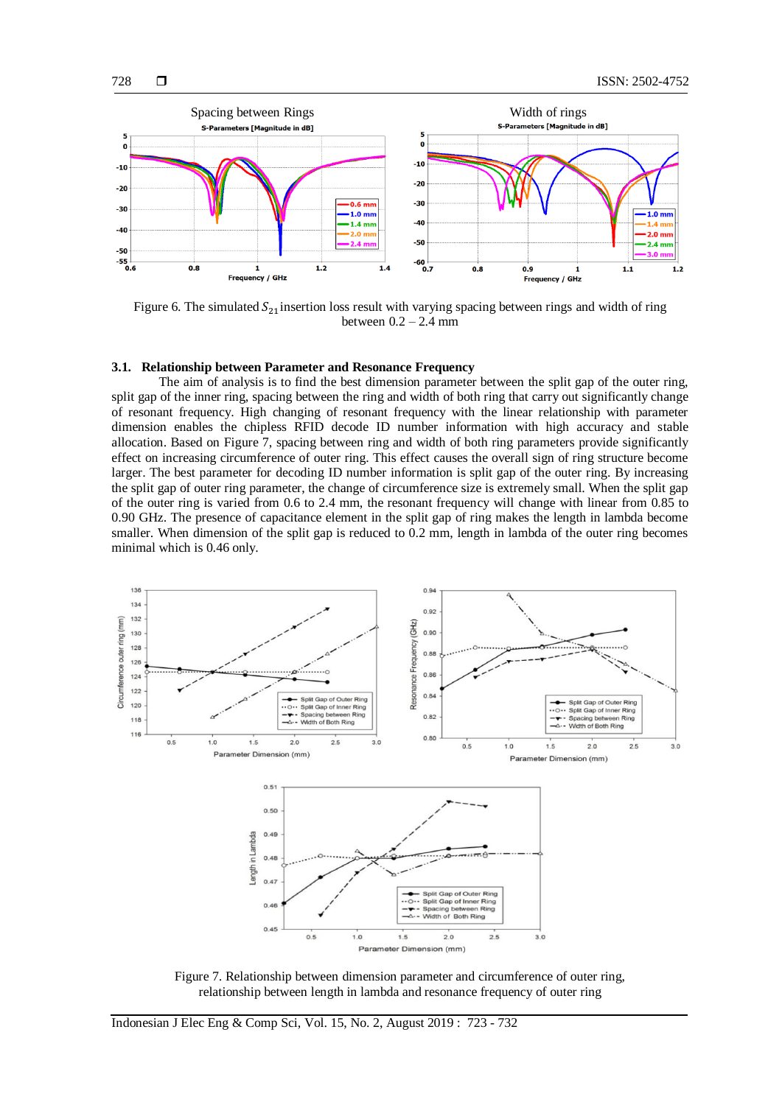

Figure 6. The simulated  $S_{21}$  insertion loss result with varying spacing between rings and width of ring between  $0.2 - 2.4$  mm

#### **3.1. Relationship between Parameter and Resonance Frequency**

The aim of analysis is to find the best dimension parameter between the split gap of the outer ring, split gap of the inner ring, spacing between the ring and width of both ring that carry out significantly change of resonant frequency. High changing of resonant frequency with the linear relationship with parameter dimension enables the chipless RFID decode ID number information with high accuracy and stable allocation. Based on Figure 7, spacing between ring and width of both ring parameters provide significantly effect on increasing circumference of outer ring. This effect causes the overall sign of ring structure become larger. The best parameter for decoding ID number information is split gap of the outer ring. By increasing the split gap of outer ring parameter, the change of circumference size is extremely small. When the split gap of the outer ring is varied from 0.6 to 2.4 mm, the resonant frequency will change with linear from 0.85 to 0.90 GHz. The presence of capacitance element in the split gap of ring makes the length in lambda become smaller. When dimension of the split gap is reduced to 0.2 mm, length in lambda of the outer ring becomes minimal which is 0.46 only.



Figure 7. Relationship between dimension parameter and circumference of outer ring, relationship between length in lambda and resonance frequency of outer ring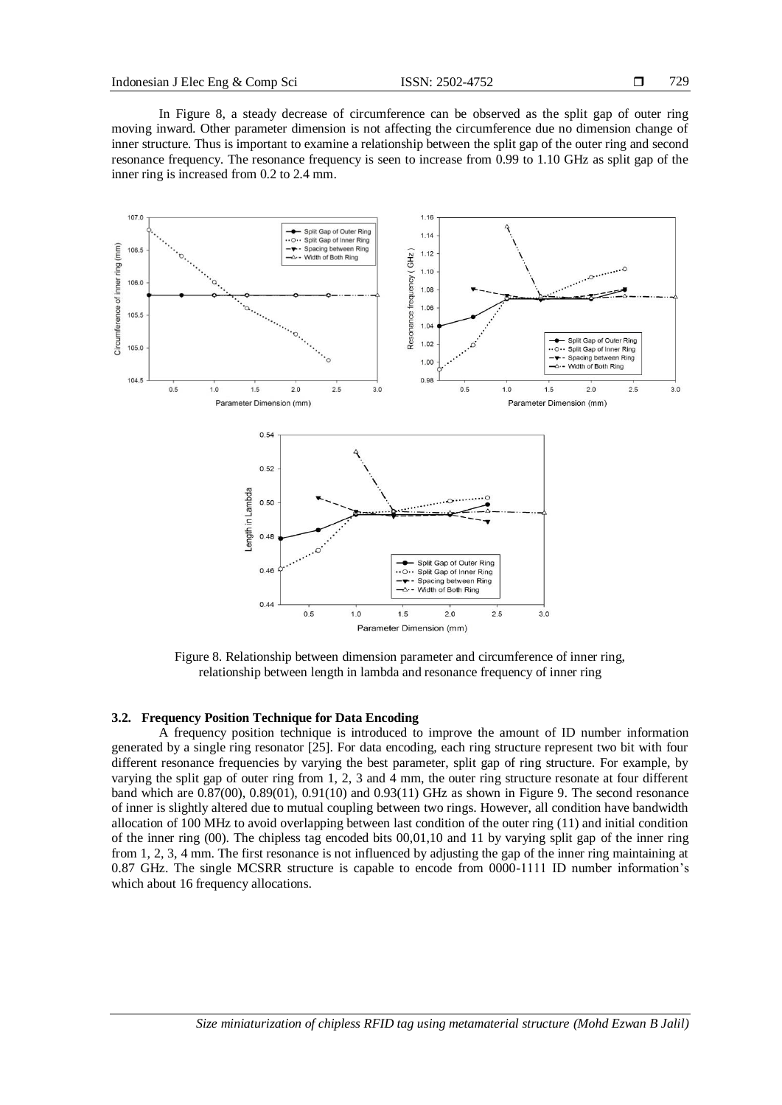In Figure 8, a steady decrease of circumference can be observed as the split gap of outer ring moving inward. Other parameter dimension is not affecting the circumference due no dimension change of inner structure. Thus is important to examine a relationship between the split gap of the outer ring and second resonance frequency. The resonance frequency is seen to increase from 0.99 to 1.10 GHz as split gap of the inner ring is increased from 0.2 to 2.4 mm.



Figure 8. Relationship between dimension parameter and circumference of inner ring, relationship between length in lambda and resonance frequency of inner ring

## **3.2. Frequency Position Technique for Data Encoding**

A frequency position technique is introduced to improve the amount of ID number information generated by a single ring resonator [25]. For data encoding, each ring structure represent two bit with four different resonance frequencies by varying the best parameter, split gap of ring structure. For example, by varying the split gap of outer ring from 1, 2, 3 and 4 mm, the outer ring structure resonate at four different band which are 0.87(00), 0.89(01), 0.91(10) and 0.93(11) GHz as shown in Figure 9. The second resonance of inner is slightly altered due to mutual coupling between two rings. However, all condition have bandwidth allocation of 100 MHz to avoid overlapping between last condition of the outer ring (11) and initial condition of the inner ring (00). The chipless tag encoded bits 00,01,10 and 11 by varying split gap of the inner ring from 1, 2, 3, 4 mm. The first resonance is not influenced by adjusting the gap of the inner ring maintaining at 0.87 GHz. The single MCSRR structure is capable to encode from 0000-1111 ID number information's which about 16 frequency allocations.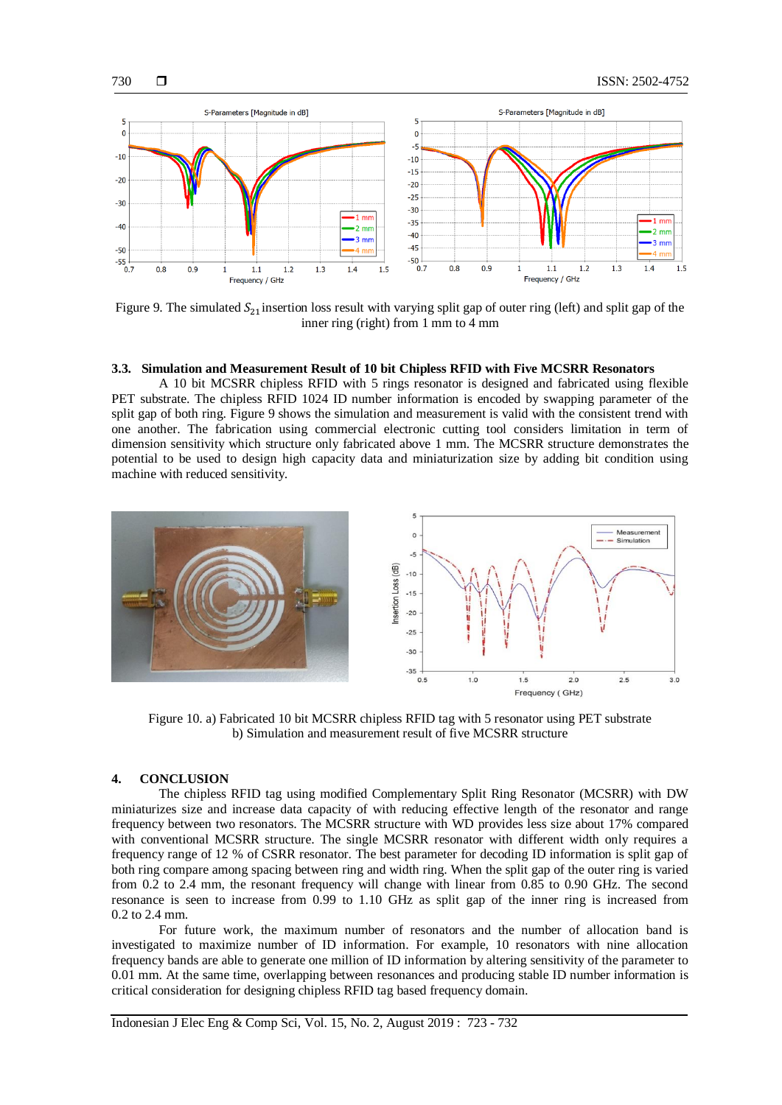

Figure 9. The simulated  $S_{21}$  insertion loss result with varying split gap of outer ring (left) and split gap of the inner ring (right) from 1 mm to 4 mm

## **3.3. Simulation and Measurement Result of 10 bit Chipless RFID with Five MCSRR Resonators**

A 10 bit MCSRR chipless RFID with 5 rings resonator is designed and fabricated using flexible PET substrate. The chipless RFID 1024 ID number information is encoded by swapping parameter of the split gap of both ring. Figure 9 shows the simulation and measurement is valid with the consistent trend with one another. The fabrication using commercial electronic cutting tool considers limitation in term of dimension sensitivity which structure only fabricated above 1 mm. The MCSRR structure demonstrates the potential to be used to design high capacity data and miniaturization size by adding bit condition using machine with reduced sensitivity.



Figure 10. a) Fabricated 10 bit MCSRR chipless RFID tag with 5 resonator using PET substrate b) Simulation and measurement result of five MCSRR structure

## **4. CONCLUSION**

The chipless RFID tag using modified Complementary Split Ring Resonator (MCSRR) with DW miniaturizes size and increase data capacity of with reducing effective length of the resonator and range frequency between two resonators. The MCSRR structure with WD provides less size about 17% compared with conventional MCSRR structure. The single MCSRR resonator with different width only requires a frequency range of 12 % of CSRR resonator. The best parameter for decoding ID information is split gap of both ring compare among spacing between ring and width ring. When the split gap of the outer ring is varied from 0.2 to 2.4 mm, the resonant frequency will change with linear from 0.85 to 0.90 GHz. The second resonance is seen to increase from 0.99 to 1.10 GHz as split gap of the inner ring is increased from 0.2 to 2.4 mm.

For future work, the maximum number of resonators and the number of allocation band is investigated to maximize number of ID information. For example, 10 resonators with nine allocation frequency bands are able to generate one million of ID information by altering sensitivity of the parameter to 0.01 mm. At the same time, overlapping between resonances and producing stable ID number information is critical consideration for designing chipless RFID tag based frequency domain.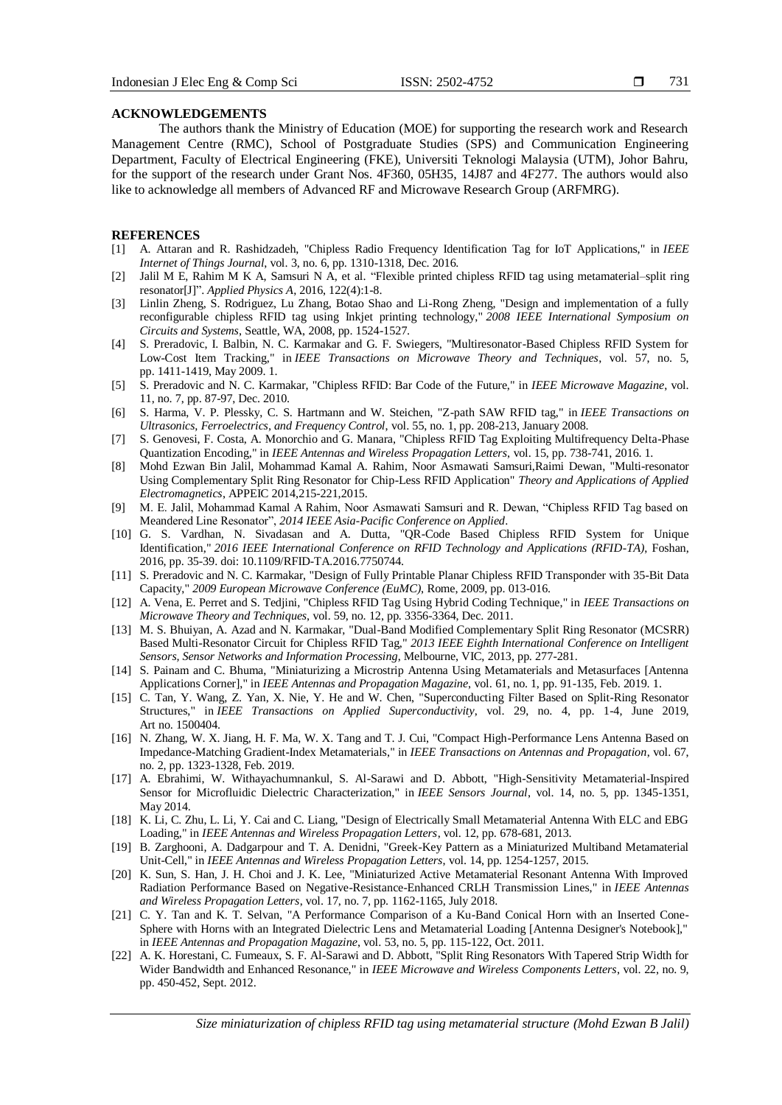## **ACKNOWLEDGEMENTS**

The authors thank the Ministry of Education (MOE) for supporting the research work and Research Management Centre (RMC), School of Postgraduate Studies (SPS) and Communication Engineering Department, Faculty of Electrical Engineering (FKE), Universiti Teknologi Malaysia (UTM), Johor Bahru, for the support of the research under Grant Nos. 4F360, 05H35, 14J87 and 4F277. The authors would also like to acknowledge all members of Advanced RF and Microwave Research Group (ARFMRG).

#### **REFERENCES**

- [1] A. Attaran and R. Rashidzadeh, "Chipless Radio Frequency Identification Tag for IoT Applications," in *IEEE Internet of Things Journal*, vol. 3, no. 6, pp. 1310-1318, Dec. 2016.
- [2] Jalil M E, Rahim M K A, Samsuri N A, et al. "Flexible printed chipless RFID tag using metamaterial–split ring resonator[J]". *Applied Physics A*, 2016, 122(4):1-8.
- [3] Linlin Zheng, S. Rodriguez, Lu Zhang, Botao Shao and Li-Rong Zheng, "Design and implementation of a fully reconfigurable chipless RFID tag using Inkjet printing technology," *2008 IEEE International Symposium on Circuits and Systems*, Seattle, WA, 2008, pp. 1524-1527.
- [4] S. Preradovic, I. Balbin, N. C. Karmakar and G. F. Swiegers, "Multiresonator-Based Chipless RFID System for Low-Cost Item Tracking," in *IEEE Transactions on Microwave Theory and Techniques*, vol. 57, no. 5, pp. 1411-1419, May 2009. 1.
- [5] S. Preradovic and N. C. Karmakar, "Chipless RFID: Bar Code of the Future," in *IEEE Microwave Magazine*, vol. 11, no. 7, pp. 87-97, Dec. 2010.
- [6] S. Harma, V. P. Plessky, C. S. Hartmann and W. Steichen, "Z-path SAW RFID tag," in *IEEE Transactions on Ultrasonics, Ferroelectrics, and Frequency Control*, vol. 55, no. 1, pp. 208-213, January 2008.
- [7] S. Genovesi, F. Costa, A. Monorchio and G. Manara, "Chipless RFID Tag Exploiting Multifrequency Delta-Phase Quantization Encoding," in *IEEE Antennas and Wireless Propagation Letters*, vol. 15, pp. 738-741, 2016. 1.
- [8] Mohd Ezwan Bin Jalil, Mohammad Kamal A. Rahim, Noor Asmawati Samsuri,Raimi Dewan, "Multi-resonator Using Complementary Split Ring Resonator for Chip-Less RFID Application" *Theory and Applications of Applied Electromagnetics*, APPEIC 2014,215-221,2015.
- [9] M. E. Jalil, Mohammad Kamal A Rahim, Noor Asmawati Samsuri and R. Dewan, "Chipless RFID Tag based on Meandered Line Resonator", *2014 IEEE Asia-Pacific Conference on Applied*.
- [10] G. S. Vardhan, N. Sivadasan and A. Dutta, "QR-Code Based Chipless RFID System for Unique Identification," *2016 IEEE International Conference on RFID Technology and Applications (RFID-TA)*, Foshan, 2016, pp. 35-39. doi: 10.1109/RFID-TA.2016.7750744.
- [11] S. Preradovic and N. C. Karmakar, "Design of Fully Printable Planar Chipless RFID Transponder with 35-Bit Data Capacity," *2009 European Microwave Conference (EuMC)*, Rome, 2009, pp. 013-016.
- [12] A. Vena, E. Perret and S. Tedjini, "Chipless RFID Tag Using Hybrid Coding Technique," in *IEEE Transactions on Microwave Theory and Techniques*, vol. 59, no. 12, pp. 3356-3364, Dec. 2011.
- [13] M. S. Bhuiyan, A. Azad and N. Karmakar, "Dual-Band Modified Complementary Split Ring Resonator (MCSRR) Based Multi-Resonator Circuit for Chipless RFID Tag," *2013 IEEE Eighth International Conference on Intelligent Sensors, Sensor Networks and Information Processing*, Melbourne, VIC, 2013, pp. 277-281.
- [14] S. Painam and C. Bhuma, "Miniaturizing a Microstrip Antenna Using Metamaterials and Metasurfaces [Antenna Applications Corner]," in *IEEE Antennas and Propagation Magazine*, vol. 61, no. 1, pp. 91-135, Feb. 2019. 1.
- [15] C. Tan, Y. Wang, Z. Yan, X. Nie, Y. He and W. Chen, "Superconducting Filter Based on Split-Ring Resonator Structures," in *IEEE Transactions on Applied Superconductivity*, vol. 29, no. 4, pp. 1-4, June 2019, Art no. 1500404.
- [16] N. Zhang, W. X. Jiang, H. F. Ma, W. X. Tang and T. J. Cui, "Compact High-Performance Lens Antenna Based on Impedance-Matching Gradient-Index Metamaterials," in *IEEE Transactions on Antennas and Propagation*, vol. 67, no. 2, pp. 1323-1328, Feb. 2019.
- [17] A. Ebrahimi, W. Withayachumnankul, S. Al-Sarawi and D. Abbott, "High-Sensitivity Metamaterial-Inspired Sensor for Microfluidic Dielectric Characterization," in *IEEE Sensors Journal*, vol. 14, no. 5, pp. 1345-1351, May 2014.
- [18] K. Li, C. Zhu, L. Li, Y. Cai and C. Liang, "Design of Electrically Small Metamaterial Antenna With ELC and EBG Loading," in *IEEE Antennas and Wireless Propagation Letters*, vol. 12, pp. 678-681, 2013.
- [19] B. Zarghooni, A. Dadgarpour and T. A. Denidni, "Greek-Key Pattern as a Miniaturized Multiband Metamaterial Unit-Cell," in *IEEE Antennas and Wireless Propagation Letters*, vol. 14, pp. 1254-1257, 2015.
- [20] K. Sun, S. Han, J. H. Choi and J. K. Lee, "Miniaturized Active Metamaterial Resonant Antenna With Improved Radiation Performance Based on Negative-Resistance-Enhanced CRLH Transmission Lines," in *IEEE Antennas and Wireless Propagation Letters*, vol. 17, no. 7, pp. 1162-1165, July 2018.
- [21] C. Y. Tan and K. T. Selvan, "A Performance Comparison of a Ku-Band Conical Horn with an Inserted Cone-Sphere with Horns with an Integrated Dielectric Lens and Metamaterial Loading [Antenna Designer's Notebook]," in *IEEE Antennas and Propagation Magazine*, vol. 53, no. 5, pp. 115-122, Oct. 2011.
- [22] A. K. Horestani, C. Fumeaux, S. F. Al-Sarawi and D. Abbott, "Split Ring Resonators With Tapered Strip Width for Wider Bandwidth and Enhanced Resonance," in *IEEE Microwave and Wireless Components Letters*, vol. 22, no. 9, pp. 450-452, Sept. 2012.